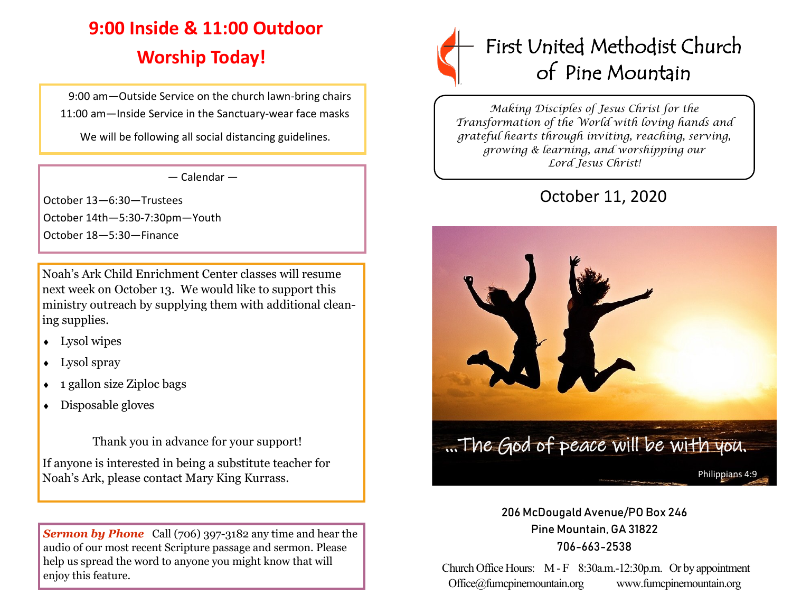# **9:00 Inside & 11:00 Outdoor Worship Today!**

 9:00 am—Outside Service on the church lawn-bring chairs 11:00 am—Inside Service in the Sanctuary-wear face masks

We will be following all social distancing guidelines.

— Calendar —

October 13—6:30—Trustees October 14th—5:30-7:30pm—Youth October 18—5:30—Finance

Noah's Ark Child Enrichment Center classes will resume next week on October 13. We would like to support this ministry outreach by supplying them with additional cleaning supplies.

- Lysol wipes
- Lysol spray
- $\leftarrow$  1 gallon size Ziploc bags
- Disposable gloves

Thank you in advance for your support!

If anyone is interested in being a substitute teacher for

**Sermon by Phone** Call (706) 397-3182 any time and hear the audio of our most recent Scripture passage and sermon. Please help us spread the word to anyone you might know that will enjoy this feature.



*Making Disciples of Jesus Christ for the Transformation of the World with loving hands and grateful hearts through inviting, reaching, serving, growing & learning, and worshipping our Lord Jesus Christ!* 

## October 11, 2020



### 206 McDougald Avenue/PO Box 246 Pine Mountain, GA 31822 706-663-2538

Church Office Hours: M - F 8:30a.m.-12:30p.m. Or by appointment Office@fumcpinemountain.org www.fumcpinemountain.org